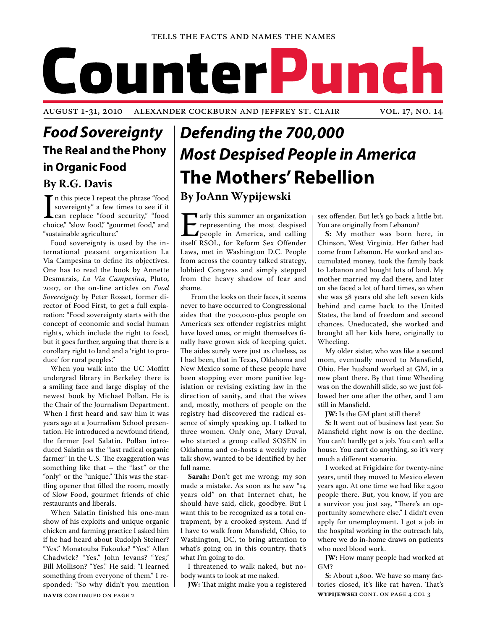# CounterP unch

AUGUST 1-31, 2010 Alexander Cockburn and Jeffrey St. Clair vol. 17, no. 14

## *Food Sovereignty* **The Real and the Phony in Organic Food By R.G. Davis**

 $\prod_{\text{cho}}$ In this piece I repeat the phrase "food sovereignty" a few times to see if it can replace "food security," "food choice," "slow food," "gourmet food," and "sustainable agriculture."

Food sovereignty is used by the international peasant organization La Via Campesina to define its objectives. One has to read the book by Annette Desmarais, *La Via Campesina*, Pluto, 2007, or the on-line articles on *Food Sovereignty* by Peter Rosset, former director of Food First, to get a full explanation: "Food sovereignty starts with the concept of economic and social human rights, which include the right to food, but it goes further, arguing that there is a corollary right to land and a 'right to produce' for rural peoples."

When you walk into the UC Moffitt undergrad library in Berkeley there is a smiling face and large display of the newest book by Michael Pollan. He is the Chair of the Journalism Department. When I first heard and saw him it was years ago at a Journalism School presentation. He introduced a newfound friend, the farmer Joel Salatin. Pollan introduced Salatin as the "last radical organic farmer" in the U.S. The exaggeration was something like that – the "last" or the "only" or the "unique." This was the startling opener that filled the room, mostly of Slow Food, gourmet friends of chic restaurants and liberals.

**DAVIS** CONTINUED ON PAGE 2 When Salatin finished his one-man show of his exploits and unique organic chicken and farming practice I asked him if he had heard about Rudolph Steiner? "Yes." Monatouba Fukouka? "Yes." Allan Chadwick? "Yes." John Jevans? "Yes," Bill Mollison? "Yes." He said: "I learned something from everyone of them." I responded: "So why didn't you mention

## *Defending the 700,000 Most Despised People in America* **The Mothers' Rebellion**

### **By JoAnn Wypijewski**

Text and this summer an organization<br>representing the most despised<br>people in America, and calling<br>itself RSOL, for Reform Sex Offender representing the most despised people in America, and calling itself RSOL, for Reform Sex Offender Laws, met in Washington D.C. People from across the country talked strategy, lobbied Congress and simply stepped from the heavy shadow of fear and shame.

 From the looks on their faces, it seems never to have occurred to Congressional aides that the 700,000-plus people on America's sex offender registries might have loved ones, or might themselves finally have grown sick of keeping quiet. The aides surely were just as clueless, as I had been, that in Texas, Oklahoma and New Mexico some of these people have been stopping ever more punitive legislation or revising existing law in the direction of sanity, and that the wives and, mostly, mothers of people on the registry had discovered the radical essence of simply speaking up. I talked to three women. Only one, Mary Duval, who started a group called SOSEN in Oklahoma and co-hosts a weekly radio talk show, wanted to be identified by her full name.

**Sarah:** Don't get me wrong: my son made a mistake. As soon as he saw "14 years old" on that Internet chat, he should have said, click, goodbye. But I want this to be recognized as a total entrapment, by a crooked system. And if I have to walk from Mansfield, Ohio, to Washington, DC, to bring attention to what's going on in this country, that's what I'm going to do.

I threatened to walk naked, but nobody wants to look at me naked.

**JW:** That might make you a registered

sex offender. But let's go back a little bit. You are originally from Lebanon?

**S:** My mother was born here, in Chinson, West Virginia. Her father had come from Lebanon. He worked and accumulated money, took the family back to Lebanon and bought lots of land. My mother married my dad there, and later on she faced a lot of hard times, so when she was 38 years old she left seven kids behind and came back to the United States, the land of freedom and second chances. Uneducated, she worked and brought all her kids here, originally to Wheeling.

My older sister, who was like a second mom, eventually moved to Mansfield, Ohio. Her husband worked at GM, in a new plant there. By that time Wheeling was on the downhill slide, so we just followed her one after the other, and I am still in Mansfield.

**JW:** Is the GM plant still there?

**S:** It went out of business last year. So Mansfield right now is on the decline. You can't hardly get a job. You can't sell a house. You can't do anything, so it's very much a different scenario.

I worked at Frigidaire for twenty-nine years, until they moved to Mexico eleven years ago. At one time we had like 2,500 people there. But, you know, if you are a survivor you just say, "There's an opportunity somewhere else." I didn't even apply for unemployment. I got a job in the hospital working in the outreach lab, where we do in-home draws on patients who need blood work.

**JW:** How many people had worked at GM?

**wypijewski** cont. on page 4 col 3 **S:** About 1,800. We have so many factories closed, it's like rat haven. That's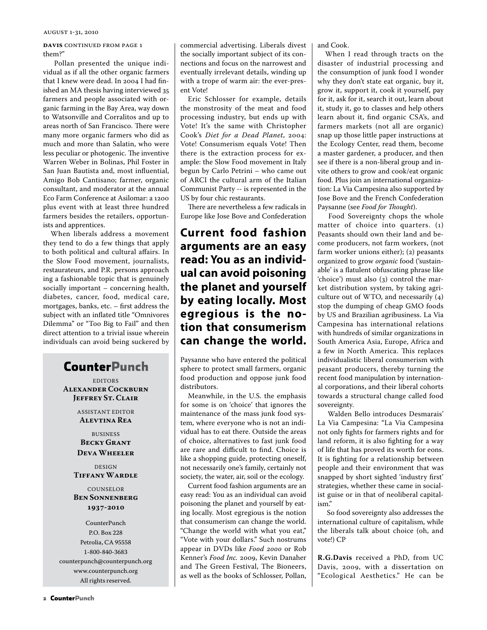#### AUGUST 1-31, 2010

### **DAVIS** CONTINUED FROM PAGE 1 them?"

 Pollan presented the unique individual as if all the other organic farmers that I knew were dead. In 2004 I had finished an MA thesis having interviewed 35 farmers and people associated with organic farming in the Bay Area, way down to Watsonville and Corralitos and up to areas north of San Francisco. There were many more organic farmers who did as much and more than Salatin, who were less peculiar or photogenic. The inventive Warren Weber in Bolinas, Phil Foster in San Juan Bautista and, most influential, Amigo Bob Cantisano; farmer, organic consultant, and moderator at the annual Eco Farm Conference at Asilomar: a 1200 plus event with at least three hundred farmers besides the retailers, opportunists and apprentices.

When liberals address a movement they tend to do a few things that apply to both political and cultural affairs. In the Slow Food movement, journalists, restaurateurs, and P.R. persons approach ing a fashionable topic that is genuinely socially important – concerning health, diabetes, cancer, food, medical care, mortgages, banks, etc. – first address the subject with an inflated title "Omnivores Dilemma" or "Too Big to Fail" and then direct attention to a trivial issue wherein individuals can avoid being suckered by

## **CounterPunch**

EDITORS **Alexander Cockburn Jeffrey St. Clair**

> ASSISTANT EDITOR **Alevtina Rea**

**BUSINESS Becky Grant Deva Wheeler**

DESIGN **Tiffany Wardle**

COUNSELOR **Ben Sonnenberg 1937-2010**

CounterPunch P.O. Box 228 Petrolia, CA 95558 1-800-840-3683 counterpunch@counterpunch.org www.counterpunch.org All rights reserved.

commercial advertising. Liberals divest the socially important subject of its connections and focus on the narrowest and eventually irrelevant details, winding up with a trope of warm air: the ever-present Vote!

Eric Schlosser for example, details the monstrosity of the meat and food processing industry, but ends up with Vote! It's the same with Christopher Cook's *Diet for a Dead Planet*, 2004: Vote! Consumerism equals Vote! Then there is the extraction process for example: the Slow Food movement in Italy begun by Carlo Petrini – who came out of ARCI the cultural arm of the Italian Communist Party -- is represented in the US by four chic restaurants.

There are nevertheless a few radicals in Europe like Jose Bove and Confederation

## **Current food fashion arguments are an easy read: You as an individual can avoid poisoning the planet and yourself by eating locally. Most egregious is the notion that consumerism can change the world.**

Paysanne who have entered the political sphere to protect small farmers, organic food production and oppose junk food distributors.

Meanwhile, in the U.S. the emphasis for some is on 'choice' that ignores the maintenance of the mass junk food system, where everyone who is not an individual has to eat there. Outside the areas of choice, alternatives to fast junk food are rare and difficult to find. Choice is like a shopping guide, protecting oneself, not necessarily one's family, certainly not society, the water, air, soil or the ecology.

Current food fashion arguments are an easy read: You as an individual can avoid poisoning the planet and yourself by eating locally. Most egregious is the notion that consumerism can change the world. "Change the world with what you eat," "Vote with your dollars." Such nostrums appear in DVDs like *Food 2000* or Rob Kenner's *Food Inc.* 2009, Kevin Danaher and The Green Festival, The Bioneers, as well as the books of Schlosser, Pollan,

and Cook.

When I read through tracts on the disaster of industrial processing and the consumption of junk food I wonder why they don't state eat organic, buy it, grow it, support it, cook it yourself, pay for it, ask for it, search it out, learn about it, study it, go to classes and help others learn about it, find organic CSA's, and farmers markets (not all are organic) snap up those little paper instructions at the Ecology Center, read them, become a master gardener, a producer, and then see if there is a non-liberal group and invite others to grow and cook/eat organic food. Plus join an international organization: La Via Campesina also supported by Jose Bove and the French Confederation Paysanne (see *Food for Thought*).

 Food Sovereignty chops the whole matter of choice into quarters. (1) Peasants should own their land and become producers, not farm workers, (not farm worker unions either); (2) peasants organized to grow *organic* food ('sustainable' is a flatulent obfuscating phrase like 'choice') must also (3) control the market distribution system, by taking agriculture out of WTO, and necessarily (4) stop the dumping of cheap GMO foods by US and Brazilian agribusiness. La Via Campesina has international relations with hundreds of similar organizations in South America Asia, Europe, Africa and a few in North America. This replaces individualistic liberal consumerism with peasant producers, thereby turning the recent food manipulation by international corporations, and their liberal cohorts towards a structural change called food sovereignty.

 Walden Bello introduces Desmarais' La Via Campesina: "La Via Campesina not only fights for farmers rights and for land reform, it is also fighting for a way of life that has proved its worth for eons. It is fighting for a relationship between people and their environment that was snapped by short sighted 'industry first' strategies, whether these came in socialist guise or in that of neoliberal capitalism."

 So food sovereignty also addresses the international culture of capitalism, while the liberals talk about choice (oh, and vote!) CP

**R.G.Davis** received a PhD, from UC Davis, 2009, with a dissertation on "Ecological Aesthetics." He can be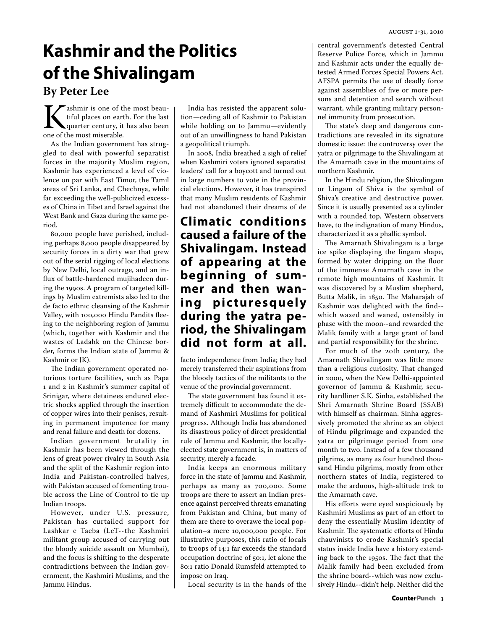## **Kashmir and the Politics of the Shivalingam By Peter Lee**

**K** ashmir is one of the most beau-<br>tiful places on earth. For the last<br>quarter century, it has also been<br>one of the most miserable. tiful places on earth. For the last quarter century, it has also been one of the most miserable.

As the Indian government has struggled to deal with powerful separatist forces in the majority Muslim region, Kashmir has experienced a level of violence on par with East Timor, the Tamil areas of Sri Lanka, and Chechnya, while far exceeding the well-publicized excesses of China in Tibet and Israel against the West Bank and Gaza during the same period.

80,000 people have perished, including perhaps 8,000 people disappeared by security forces in a dirty war that grew out of the serial rigging of local elections by New Delhi, local outrage, and an influx of battle-hardened mujihadeen during the 1990s. A program of targeted killings by Muslim extremists also led to the de facto ethnic cleansing of the Kashmir Valley, with 100,000 Hindu Pandits fleeing to the neighboring region of Jammu (which, together with Kashmir and the wastes of Ladahk on the Chinese border, forms the Indian state of Jammu & Kashmir or JK).

The Indian government operated notorious torture facilities, such as Papa 1 and 2 in Kashmir's summer capital of Srinigar, where detainees endured electric shocks applied through the insertion of copper wires into their penises, resulting in permanent impotence for many and renal failure and death for dozens.

Indian government brutality in Kashmir has been viewed through the lens of great power rivalry in South Asia and the split of the Kashmir region into India and Pakistan-controlled halves, with Pakistan accused of fomenting trouble across the Line of Control to tie up Indian troops.

However, under U.S. pressure, Pakistan has curtailed support for Lashkar e Taeba (LeT--the Kashmiri militant group accused of carrying out the bloody suicide assault on Mumbai), and the focus is shifting to the desperate contradictions between the Indian government, the Kashmiri Muslims, and the Jammu Hindus.

India has resisted the apparent solution—ceding all of Kashmir to Pakistan while holding on to Jammu—evidently out of an unwillingness to hand Pakistan a geopolitical triumph.

In 2008, India breathed a sigh of relief when Kashmiri voters ignored separatist leaders' call for a boycott and turned out in large numbers to vote in the provincial elections. However, it has transpired that many Muslim residents of Kashmir had not abandoned their dreams of de

## **Climatic conditions caused a failure of the Shivalingam. Instead of appearing at the beginning of summer and then wan**ing picturesquely **during the yatra period, the Shivalingam did not form at all.**

facto independence from India; they had merely transferred their aspirations from the bloody tactics of the militants to the venue of the provincial government.

The state government has found it extremely difficult to accommodate the demand of Kashmiri Muslims for political progress. Although India has abandoned its disastrous policy of direct presidential rule of Jammu and Kashmir, the locallyelected state government is, in matters of security, merely a facade.

India keeps an enormous military force in the state of Jammu and Kashmir, perhaps as many as 700,000. Some troops are there to assert an Indian presence against perceived threats emanating from Pakistan and China, but many of them are there to overawe the local population–a mere 10,000,000 people. For illustrative purposes, this ratio of locals to troops of 14:1 far exceeds the standard occupation doctrine of 50:1, let alone the 80:1 ratio Donald Rumsfeld attempted to impose on Iraq.

Local security is in the hands of the

central government's detested Central Reserve Police Force, which in Jammu and Kashmir acts under the equally detested Armed Forces Special Powers Act. AFSPA permits the use of deadly force against assemblies of five or more persons and detention and search without warrant, while granting military personnel immunity from prosecution.

The state's deep and dangerous contradictions are revealed in its signature domestic issue: the controversy over the yatra or pilgrimage to the Shivalingam at the Amarnath cave in the mountains of northern Kashmir.

In the Hindu religion, the Shivalingam or Lingam of Shiva is the symbol of Shiva's creative and destructive power. Since it is usually presented as a cylinder with a rounded top, Western observers have, to the indignation of many Hindus, characterized it as a phallic symbol.

The Amarnath Shivalingam is a large ice spike displaying the lingam shape, formed by water dripping on the floor of the immense Amarnath cave in the remote high mountains of Kashmir. It was discovered by a Muslim shepherd, Butta Malik, in 1850. The Maharajah of Kashmir was delighted with the find- which waxed and waned, ostensibly in phase with the moon--and rewarded the Malik family with a large grant of land and partial responsibility for the shrine.

For much of the 20th century, the Amarnath Shivalingam was little more than a religious curiosity. That changed in 2000, when the New Delhi-appointed governor of Jammu & Kashmir, security hardliner S.K. Sinha, established the Shri Amarnath Shrine Board (SSAB) with himself as chairman. Sinha aggressively promoted the shrine as an object of Hindu pilgrimage and expanded the yatra or pilgrimage period from one month to two. Instead of a few thousand pilgrims, as many as four hundred thousand Hindu pilgrims, mostly from other northern states of India, registered to make the arduous, high-altitude trek to the Amarnath cave.

His efforts were eyed suspiciously by Kashmiri Muslims as part of an effort to deny the essentially Muslim identity of Kashmir. The systematic efforts of Hindu chauvinists to erode Kashmir's special status inside India have a history extending back to the 1950s. The fact that the Malik family had been excluded from the shrine board--which was now exclusively Hindu--didn't help. Neither did the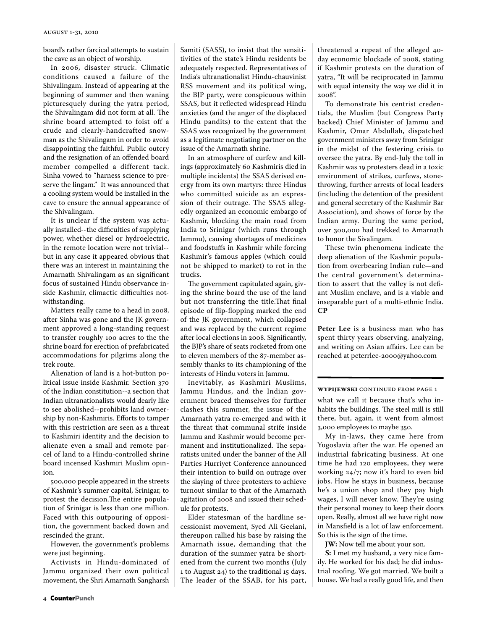board's rather farcical attempts to sustain the cave as an object of worship.

In 2006, disaster struck. Climatic conditions caused a failure of the Shivalingam. Instead of appearing at the beginning of summer and then waning picturesquely during the yatra period, the Shivalingam did not form at all. The shrine board attempted to foist off a crude and clearly-handcrafted snowman as the Shivalingam in order to avoid disappointing the faithful. Public outcry and the resignation of an offended board member compelled a different tack. Sinha vowed to "harness science to preserve the lingam." It was announced that a cooling system would be installed in the cave to ensure the annual appearance of the Shivalingam.

It is unclear if the system was actually installed--the difficulties of supplying power, whether diesel or hydroelectric, in the remote location were not trivial- but in any case it appeared obvious that there was an interest in maintaining the Amarnath Shivalingam as an significant focus of sustained Hindu observance inside Kashmir, climactic difficulties notwithstanding.

Matters really came to a head in 2008, after Sinha was gone and the JK government approved a long-standing request to transfer roughly 100 acres to the the shrine board for erection of prefabricated accommodations for pilgrims along the trek route.

Alienation of land is a hot-button political issue inside Kashmir. Section 370 of the Indian constitution--a section that Indian ultranationalists would dearly like to see abolished--prohibits land ownership by non-Kashmiris. Efforts to tamper with this restriction are seen as a threat to Kashmiri identity and the decision to alienate even a small and remote parcel of land to a Hindu-controlled shrine board incensed Kashmiri Muslim opinion.

500,000 people appeared in the streets of Kashmir's summer capital, Srinigar, to protest the decision.The entire population of Srinigar is less than one million. Faced with this outpouring of opposition, the government backed down and rescinded the grant.

However, the government's problems were just beginning.

Activists in Hindu-dominated of Jammu organized their own political movement, the Shri Amarnath Sangharsh Samiti (SASS), to insist that the sensititivities of the state's Hindu residents be adequately respected. Representatives of India's ultranationalist Hindu-chauvinist RSS movement and its political wing, the BJP party, were conspicuous within SSAS, but it reflected widespread Hindu anxieties (and the anger of the displaced Hindu pandits) to the extent that the SSAS was recognized by the government as a legitimate negotiating partner on the issue of the Amarnath shrine.

In an atmosphere of curfew and killings (approximately 60 Kashmiris died in multiple incidents) the SSAS derived energy from its own martyrs: three Hindus who committed suicide as an expression of their outrage. The SSAS allegedly organized an economic embargo of Kashmir, blocking the main road from India to Srinigar (which runs through Jammu), causing shortages of medicines and foodstuffs in Kashmir while forcing Kashmir's famous apples (which could not be shipped to market) to rot in the trucks.

The government capitulated again, giving the shrine board the use of the land but not transferring the title.That final episode of flip-flopping marked the end of the JK government, which collapsed and was replaced by the current regime after local elections in 2008. Significantly, the BJP's share of seats rocketed from one to eleven members of the 87-member assembly thanks to its championing of the interests of Hindu voters in Jammu.

Inevitably, as Kashmiri Muslims, Jammu Hindus, and the Indian government braced themselves for further clashes this summer, the issue of the Amarnath yatra re-emerged and with it the threat that communal strife inside Jammu and Kashmir would become permanent and institutionalized. The separatists united under the banner of the All Parties Hurriyet Conference announced their intention to build on outrage over the slaying of three protesters to achieve turnout similar to that of the Amarnath agitation of 2008 and issued their schedule for protests.

Elder statesman of the hardline secessionist movement, Syed Ali Geelani, thereupon rallied his base by raising the Amarnath issue, demanding that the duration of the summer yatra be shortened from the current two months (July 1 to August 24) to the traditional 15 days. The leader of the SSAB, for his part, threatened a repeat of the alleged 40 day economic blockade of 2008, stating if Kashmir protests on the duration of yatra, "It will be reciprocated in Jammu with equal intensity the way we did it in  $2008"$ 

To demonstrate his centrist credentials, the Muslim (but Congress Party backed) Chief Minister of Jammu and Kashmir, Omar Abdullah, dispatched government ministers away from Srinigar in the midst of the festering crisis to oversee the yatra. By end-July the toll in Kashmir was 19 protesters dead in a toxic environment of strikes, curfews, stonethrowing, further arrests of local leaders (including the detention of the president and general secretary of the Kashmir Bar Association), and shows of force by the Indian army. During the same period, over 300,000 had trekked to Amarnath to honor the Sivalingam.

These twin phenomena indicate the deep alienation of the Kashmir population from overbearing Indian rule—and the central government's determination to assert that the valley is not defiant Muslim enclave, and is a viable and inseparable part of a multi-ethnic India. **CP**

**Peter Lee** is a business man who has spent thirty years observing, analyzing, and writing on Asian affairs. Lee can be reached at peterrlee-2000@yahoo.com

### **wypijewski** continued from page 1

what we call it because that's who inhabits the buildings. The steel mill is still there, but, again, it went from almost 3,000 employees to maybe 350.

My in-laws, they came here from Yugoslavia after the war. He opened an industrial fabricating business. At one time he had 120 employees, they were working 24/7; now it's hard to even bid jobs. How he stays in business, because he's a union shop and they pay high wages, I will never know. They're using their personal money to keep their doors open. Really, almost all we have right now in Mansfield is a lot of law enforcement. So this is the sign of the time.

**JW:** Now tell me about your son.

**S:** I met my husband, a very nice family. He worked for his dad; he did industrial roofing. We got married. We built a house. We had a really good life, and then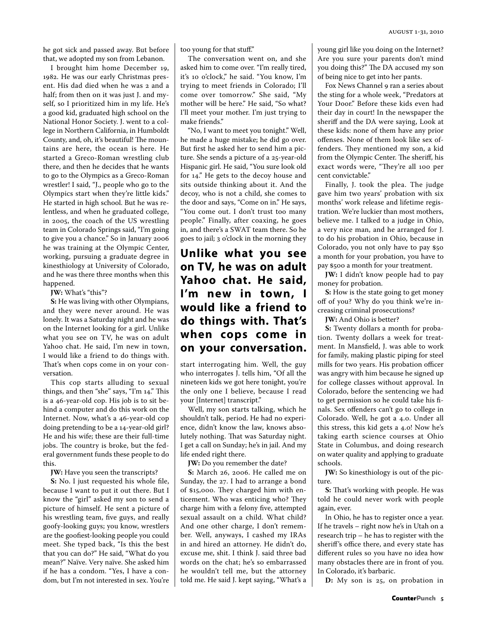he got sick and passed away. But before that, we adopted my son from Lebanon.

I brought him home December 19, 1982. He was our early Christmas present. His dad died when he was 2 and a half; from then on it was just J. and myself, so I prioritized him in my life. He's a good kid, graduated high school on the National Honor Society. J. went to a college in Northern California, in Humboldt County, and, oh, it's beautiful! The mountains are here, the ocean is here. He started a Greco-Roman wrestling club there, and then he decides that he wants to go to the Olympics as a Greco-Roman wrestler! I said, "J., people who go to the Olympics start when they're little kids." He started in high school. But he was relentless, and when he graduated college, in 2005, the coach of the US wrestling team in Colorado Springs said, "I'm going to give you a chance." So in January 2006 he was training at the Olympic Center, working, pursuing a graduate degree in kinesthiology at University of Colorado, and he was there three months when this happened.

**JW:** What's "this"?

**S:** He was living with other Olympians, and they were never around. He was lonely. It was a Saturday night and he was on the Internet looking for a girl. Unlike what you see on TV, he was on adult Yahoo chat. He said, I'm new in town, I would like a friend to do things with. That's when cops come in on your conversation.

This cop starts alluding to sexual things, and then "she" says, "I'm 14." This is a 46-year-old cop. His job is to sit behind a computer and do this work on the Internet. Now, what's a 46-year-old cop doing pretending to be a 14-year-old girl? He and his wife; these are their full-time jobs. The country is broke, but the federal government funds these people to do this.

**JW:** Have you seen the transcripts?

**S:** No. I just requested his whole file, because I want to put it out there. But I know the "girl" asked my son to send a picture of himself. He sent a picture of his wrestling team, five guys, and really goofy-looking guys; you know, wrestlers are the goofiest-looking people you could meet. She typed back, "Is this the best that you can do?" He said, "What do you mean?" Naïve. Very naïve. She asked him if he has a condom. "Yes, I have a condom, but I'm not interested in sex. You're

too young for that stuff."

The conversation went on, and she asked him to come over. "I'm really tired, it's 10 o'clock," he said. "You know, I'm trying to meet friends in Colorado; I'll come over tomorrow." She said, "My mother will be here." He said, "So what? I'll meet your mother. I'm just trying to make friends."

"No, I want to meet you tonight." Well, he made a huge mistake; he did go over. But first he asked her to send him a picture. She sends a picture of a 25-year-old Hispanic girl. He said, "You sure look old for 14." He gets to the decoy house and sits outside thinking about it. And the decoy, who is not a child, she comes to the door and says, "Come on in." He says, "You come out. I don't trust too many people." Finally, after coaxing, he goes in, and there's a SWAT team there. So he goes to jail; 3 o'clock in the morning they

**Unlike what you see on TV, he was on adult Yahoo chat. He said, I'm new in town, I would like a friend to do things with. That's when cops come in on your conversation.**

start interrogating him. Well, the guy who interrogates J. tells him, "Of all the nineteen kids we got here tonight, you're the only one I believe, because I read your [Internet] transcript."

Well, my son starts talking, which he shouldn't talk, period. He had no experience, didn't know the law, knows absolutely nothing. That was Saturday night. I get a call on Sunday; he's in jail. And my life ended right there.

**JW:** Do you remember the date?

**S:** March 26, 2006. He called me on Sunday, the 27. I had to arrange a bond of \$15,000. They charged him with enticement. Who was enticing who? They charge him with a felony five, attempted sexual assault on a child. What child? And one other charge, I don't remember. Well, anyways, I cashed my IRAs in and hired an attorney. He didn't do, excuse me, shit. I think J. said three bad words on the chat; he's so embarrassed he wouldn't tell me, but the attorney told me. He said J. kept saying, "What's a young girl like you doing on the Internet? Are you sure your parents don't mind you doing this?" The DA accused my son of being nice to get into her pants.

Fox News Channel 9 ran a series about the sting for a whole week, "Predators at Your Door." Before these kids even had their day in court! In the newspaper the sheriff and the DA were saying, Look at these kids: none of them have any prior offenses. None of them look like sex offenders. They mentioned my son, a kid from the Olympic Center. The sheriff, his exact words were, "They're all 100 per cent convictable."

Finally, J. took the plea. The judge gave him two years' probation with six months' work release and lifetime registration. We're luckier than most mothers, believe me. I talked to a judge in Ohio, a very nice man, and he arranged for J. to do his probation in Ohio, because in Colorado, you not only have to pay \$50 a month for your probation, you have to pay \$500 a month for your treatment.

**JW:** I didn't know people had to pay money for probation.

**S:** How is the state going to get money off of you? Why do you think we're increasing criminal prosecutions?

**JW:** And Ohio is better?

**S:** Twenty dollars a month for probation. Twenty dollars a week for treatment. In Mansfield, J. was able to work for family, making plastic piping for steel mills for two years. His probation officer was angry with him because he signed up for college classes without approval. In Colorado, before the sentencing we had to get permission so he could take his finals. Sex offenders can't go to college in Colorado. Well, he got a 4.0. Under all this stress, this kid gets a 4.0! Now he's taking earth science courses at Ohio State in Columbus, and doing research on water quality and applying to graduate schools.

**JW:** So kinesthiology is out of the picture.

**S:** That's working with people. He was told he could never work with people again, ever.

In Ohio, he has to register once a year. If he travels – right now he's in Utah on a research trip – he has to register with the sheriff's office there, and every state has different rules so you have no idea how many obstacles there are in front of you. In Colorado, it's barbaric.

**D:** My son is 25, on probation in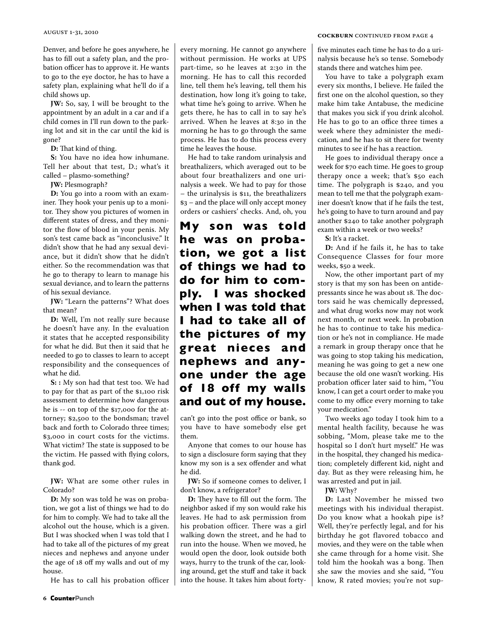Denver, and before he goes anywhere, he has to fill out a safety plan, and the probation officer has to approve it. He wants to go to the eye doctor, he has to have a safety plan, explaining what he'll do if a child shows up.

**JW:** So, say, I will be brought to the appointment by an adult in a car and if a child comes in I'll run down to the parking lot and sit in the car until the kid is gone?

**D:** That kind of thing.

**S:** You have no idea how inhumane. Tell her about that test, D.; what's it called – plasmo-something?

**JW:** Plesmograph?

**D:** You go into a room with an examiner. They hook your penis up to a monitor. They show you pictures of women in different states of dress, and they monitor the flow of blood in your penis. My son's test came back as "inconclusive." It didn't show that he had any sexual deviance, but it didn't show that he didn't either. So the recommendation was that he go to therapy to learn to manage his sexual deviance, and to learn the patterns of his sexual deviance.

**JW:** "Learn the patterns"? What does that mean?

**D:** Well, I'm not really sure because he doesn't have any. In the evaluation it states that he accepted responsibility for what he did. But then it said that he needed to go to classes to learn to accept responsibility and the consequences of what he did.

**S: :** My son had that test too. We had to pay for that as part of the \$1,100 risk assessment to determine how dangerous he is -- on top of the \$17,000 for the attorney; \$2,500 to the bondsman; travel back and forth to Colorado three times; \$3,000 in court costs for the victims. What victim? The state is supposed to be the victim. He passed with flying colors, thank god.

**JW:** What are some other rules in Colorado?

**D:** My son was told he was on probation, we got a list of things we had to do for him to comply. We had to take all the alcohol out the house, which is a given. But I was shocked when I was told that I had to take all of the pictures of my great nieces and nephews and anyone under the age of 18 off my walls and out of my house.

He has to call his probation officer

every morning. He cannot go anywhere without permission. He works at UPS part-time, so he leaves at 2:30 in the morning. He has to call this recorded line, tell them he's leaving, tell them his destination, how long it's going to take, what time he's going to arrive. When he gets there, he has to call in to say he's arrived. When he leaves at 8:30 in the morning he has to go through the same process. He has to do this process every time he leaves the house.

He had to take random urinalysis and breathalizers, which averaged out to be about four breathalizers and one urinalysis a week. We had to pay for those – the urinalysis is \$11, the breathalizers \$3 – and the place will only accept money orders or cashiers' checks. And, oh, you

**My son was told he was on probation, we got a list of things we had to do for him to comply. I was shocked when I was told that I had to take all of the pictures of my great nieces and nephews and anyone under the age of 18 off my walls and out of my house.** 

can't go into the post office or bank, so you have to have somebody else get them.

Anyone that comes to our house has to sign a disclosure form saying that they know my son is a sex offender and what he did.

**JW:** So if someone comes to deliver, I don't know, a refrigerator?

**D:** They have to fill out the form. The neighbor asked if my son would rake his leaves. He had to ask permission from his probation officer. There was a girl walking down the street, and he had to run into the house. When we moved, he would open the door, look outside both ways, hurry to the trunk of the car, looking around, get the stuff and take it back into the house. It takes him about fortyfive minutes each time he has to do a urinalysis because he's so tense. Somebody stands there and watches him pee.

You have to take a polygraph exam every six months, I believe. He failed the first one on the alcohol question, so they make him take Antabuse, the medicine that makes you sick if you drink alcohol. He has to go to an office three times a week where they administer the medication, and he has to sit there for twenty minutes to see if he has a reaction.

He goes to individual therapy once a week for \$70 each time. He goes to group therapy once a week; that's \$50 each time. The polygraph is \$240, and you mean to tell me that the polygraph examiner doesn't know that if he fails the test, he's going to have to turn around and pay another \$240 to take another polygraph exam within a week or two weeks?

**S:** It's a racket.

**D:** And if he fails it, he has to take Consequence Classes for four more weeks, \$50 a week.

Now, the other important part of my story is that my son has been on antidepressants since he was about 18. The doctors said he was chemically depressed, and what drug works now may not work next month, or next week. In probation he has to continue to take his medication or he's not in compliance. He made a remark in group therapy once that he was going to stop taking his medication, meaning he was going to get a new one because the old one wasn't working. His probation officer later said to him, "You know, I can get a court order to make you come to my office every morning to take your medication."

Two weeks ago today I took him to a mental health facility, because he was sobbing, "Mom, please take me to the hospital so I don't hurt myself." He was in the hospital, they changed his medication; completely different kid, night and day. But as they were releasing him, he was arrested and put in jail.

**JW:** Why?

**D:** Last November he missed two meetings with his individual therapist. Do you know what a hookah pipe is? Well, they're perfectly legal, and for his birthday he got flavored tobacco and movies, and they were on the table when she came through for a home visit. She told him the hookah was a bong. Then she saw the movies and she said, "You know, R rated movies; you're not sup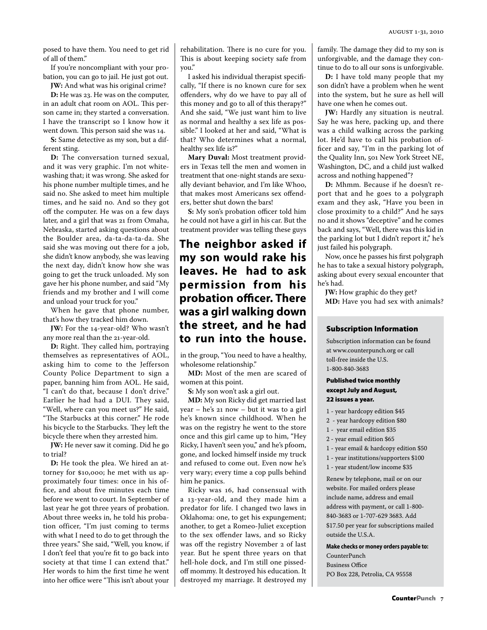posed to have them. You need to get rid of all of them."

If you're noncompliant with your probation, you can go to jail. He just got out.

**JW:** And what was his original crime? **D:** He was 23. He was on the computer, in an adult chat room on AOL. This person came in; they started a conversation. I have the transcript so I know how it went down. This person said she was 14.

**S:** Same detective as my son, but a different sting.

**D:** The conversation turned sexual, and it was very graphic. I'm not whitewashing that; it was wrong. She asked for his phone number multiple times, and he said no. She asked to meet him multiple times, and he said no. And so they got off the computer. He was on a few days later, and a girl that was 21 from Omaha, Nebraska, started asking questions about the Boulder area, da-ta-da-ta-da. She said she was moving out there for a job, she didn't know anybody, she was leaving the next day, didn't know how she was going to get the truck unloaded. My son gave her his phone number, and said "My friends and my brother and I will come and unload your truck for you."

When he gave that phone number, that's how they tracked him down.

**JW:** For the 14-year-old? Who wasn't any more real than the 21-year-old.

**D:** Right. They called him, portraying themselves as representatives of AOL, asking him to come to the Jefferson County Police Department to sign a paper, banning him from AOL. He said, "I can't do that, because I don't drive." Earlier he had had a DUI. They said, "Well, where can you meet us?" He said, "The Starbucks at this corner." He rode his bicycle to the Starbucks. They left the bicycle there when they arrested him.

**JW:** He never saw it coming. Did he go to trial?

**D:** He took the plea. We hired an attorney for \$10,000; he met with us approximately four times: once in his office, and about five minutes each time before we went to court. In September of last year he got three years of probation. About three weeks in, he told his probation officer, "I'm just coming to terms with what I need to do to get through the three years." She said, "Well, you know, if I don't feel that you're fit to go back into society at that time I can extend that." Her words to him the first time he went into her office were "This isn't about your

rehabilitation. There is no cure for you. This is about keeping society safe from you."

I asked his individual therapist specifically, "If there is no known cure for sex offenders, why do we have to pay all of this money and go to all of this therapy?" And she said, "We just want him to live as normal and healthy a sex life as possible." I looked at her and said, "What is that? Who determines what a normal, healthy sex life is?"

**Mary Duval:** Most treatment providers in Texas tell the men and women in treatment that one-night stands are sexually deviant behavior, and I'm like Whoo, that makes most Americans sex offenders, better shut down the bars!

**S:** My son's probation officer told him he could not have a girl in his car. But the treatment provider was telling these guys

## **The neighbor asked if my son would rake his leaves. He had to ask permission from his probation officer. There was a girl walking down the street, and he had to run into the house.**

in the group, "You need to have a healthy, wholesome relationship."

**MD:** Most of the men are scared of women at this point.

**S:** My son won't ask a girl out.

**MD:** My son Ricky did get married last year – he's 21 now – but it was to a girl he's known since childhood. When he was on the registry he went to the store once and this girl came up to him, "Hey Ricky, I haven't seen you," and he's pfoom, gone, and locked himself inside my truck and refused to come out. Even now he's very wary; every time a cop pulls behind him he panics.

Ricky was 16, had consensual with a 13-year-old, and they made him a predator for life. I changed two laws in Oklahoma: one, to get his expungement; another, to get a Romeo-Juliet exception to the sex offender laws, and so Ricky was off the registry November 2 of last year. But he spent three years on that hell-hole dock, and I'm still one pissedoff mommy. It destroyed his education. It destroyed my marriage. It destroyed my family. The damage they did to my son is unforgivable, and the damage they continue to do to all our sons is unforgivable.

**D:** I have told many people that my son didn't have a problem when he went into the system, but he sure as hell will have one when he comes out.

**JW:** Hardly any situation is neutral. Say he was here, packing up, and there was a child walking across the parking lot. He'd have to call his probation officer and say, "I'm in the parking lot of the Quality Inn, 501 New York Street NE, Washington, DC, and a child just walked across and nothing happened"?

**D:** Mhmm. Because if he doesn't report that and he goes to a polygraph exam and they ask, "Have you been in close proximity to a child?" And he says no and it shows "deceptive" and he comes back and says, "Well, there was this kid in the parking lot but I didn't report it," he's just failed his polygraph.

Now, once he passes his first polygraph he has to take a sexual history polygraph, asking about every sexual encounter that he's had.

**JW:** How graphic do they get? **MD:** Have you had sex with animals?

### Subscription Information

Subscription information can be found at www.counterpunch.org or call toll-free inside the U.S. 1-800-840-3683

### Published twice monthly except July and August, 22 issues a year.

- 1 year hardcopy edition \$45
- 2 year hardcopy edition \$80
- 1 year email edition \$35
- 2 year email edition \$65
- 1 year email & hardcopy edition \$50
- 1 year institutions/supporters \$100
- 1 year student/low income \$35

Renew by telephone, mail or on our website. For mailed orders please include name, address and email address with payment, or call 1-800- 840-3683 or 1-707-629 3683. Add \$17.50 per year for subscriptions mailed outside the U.S.A.

**Make checks or money orders payable to:** 

CounterPunch Business Office PO Box 228, Petrolia, CA 95558